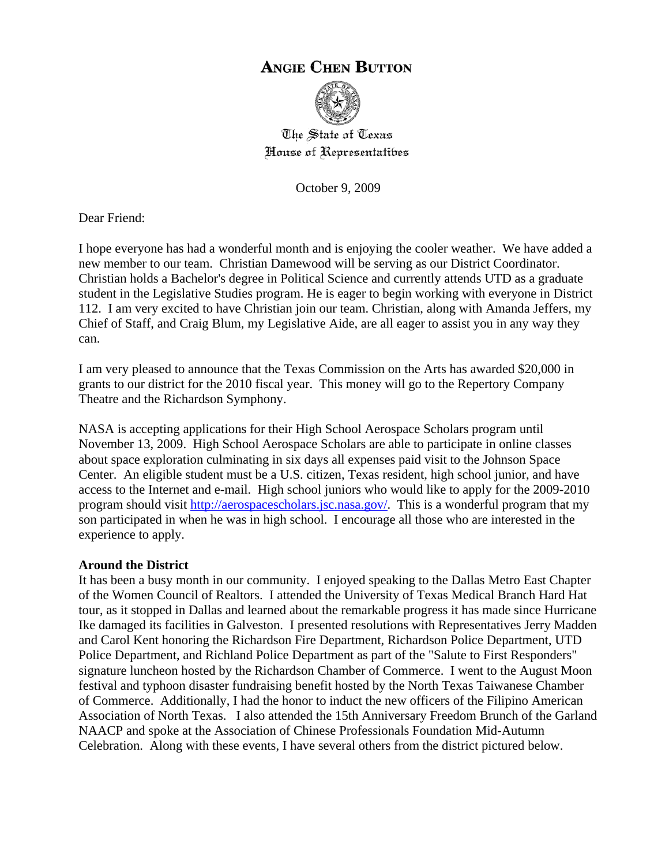# **ANGIE CHEN BUTTON**



The State of Texas House of Representatibes

October 9, 2009

Dear Friend:

I hope everyone has had a wonderful month and is enjoying the cooler weather. We have added a new member to our team. Christian Damewood will be serving as our District Coordinator. Christian holds a Bachelor's degree in Political Science and currently attends UTD as a graduate student in the Legislative Studies program. He is eager to begin working with everyone in District 112. I am very excited to have Christian join our team. Christian, along with Amanda Jeffers, my Chief of Staff, and Craig Blum, my Legislative Aide, are all eager to assist you in any way they can.

I am very pleased to announce that the Texas Commission on the Arts has awarded \$20,000 in grants to our district for the 2010 fiscal year. This money will go to the Repertory Company Theatre and the Richardson Symphony.

NASA is accepting applications for their High School Aerospace Scholars program until November 13, 2009. High School Aerospace Scholars are able to participate in online classes about space exploration culminating in six days all expenses paid visit to the Johnson Space Center. An eligible student must be a U.S. citizen, Texas resident, high school junior, and have access to the Internet and e-mail. High school juniors who would like to apply for the 2009-2010 program should visit [http://aerospacescholars.jsc.nasa.gov/.](http://aerospacescholars.jsc.nasa.gov/) This is a wonderful program that my son participated in when he was in high school. I encourage all those who are interested in the experience to apply.

#### **Around the District**

It has been a busy month in our community. I enjoyed speaking to the Dallas Metro East Chapter of the Women Council of Realtors. I attended the University of Texas Medical Branch Hard Hat tour, as it stopped in Dallas and learned about the remarkable progress it has made since Hurricane Ike damaged its facilities in Galveston. I presented resolutions with Representatives Jerry Madden and Carol Kent honoring the Richardson Fire Department, Richardson Police Department, UTD Police Department, and Richland Police Department as part of the "Salute to First Responders" signature luncheon hosted by the Richardson Chamber of Commerce. I went to the August Moon festival and typhoon disaster fundraising benefit hosted by the North Texas Taiwanese Chamber of Commerce. Additionally, I had the honor to induct the new officers of the Filipino American Association of North Texas. I also attended the 15th Anniversary Freedom Brunch of the Garland NAACP and spoke at the Association of Chinese Professionals Foundation Mid-Autumn Celebration. Along with these events, I have several others from the district pictured below.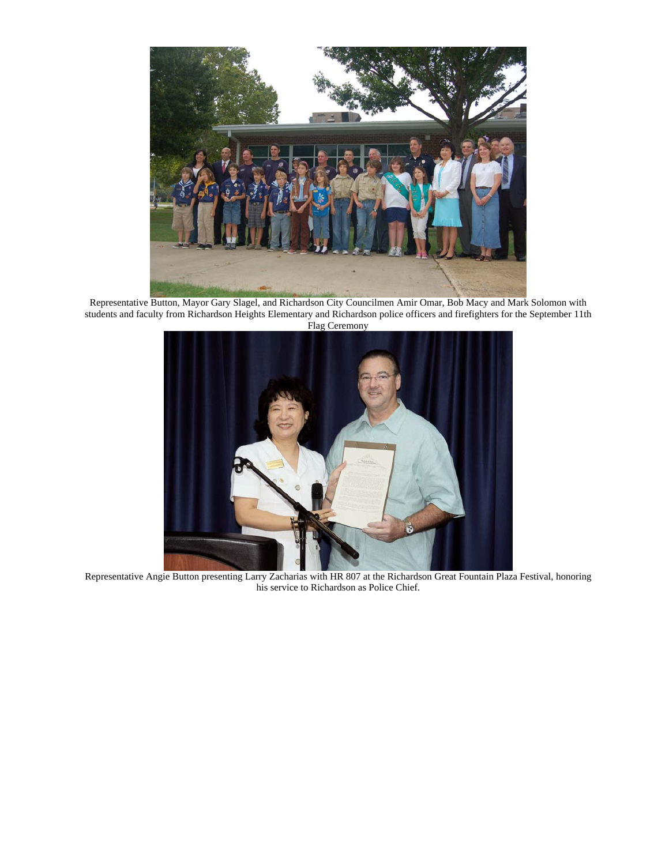

Representative Button, Mayor Gary Slagel, and Richardson City Councilmen Amir Omar, Bob Macy and Mark Solomon with students and faculty from Richardson Heights Elementary and Richardson police officers and firefighters for the September 11th Flag Ceremony



Representative Angie Button presenting Larry Zacharias with HR 807 at the Richardson Great Fountain Plaza Festival, honoring his service to Richardson as Police Chief.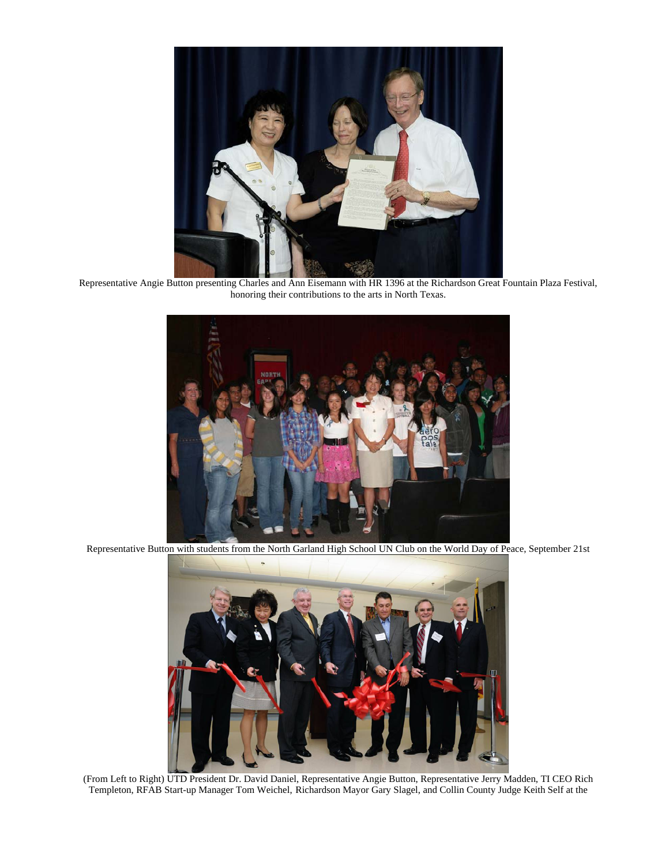

Representative Angie Button presenting Charles and Ann Eisemann with HR 1396 at the Richardson Great Fountain Plaza Festival, honoring their contributions to the arts in North Texas.



Representative Button with students from the North Garland High School UN Club on the World Day of Peace, September 21st



(From Left to Right) UTD President Dr. David Daniel, Representative Angie Button, Representative Jerry Madden, TI CEO Rich Templeton, RFAB Start-up Manager Tom Weichel, Richardson Mayor Gary Slagel, and Collin County Judge Keith Self at the